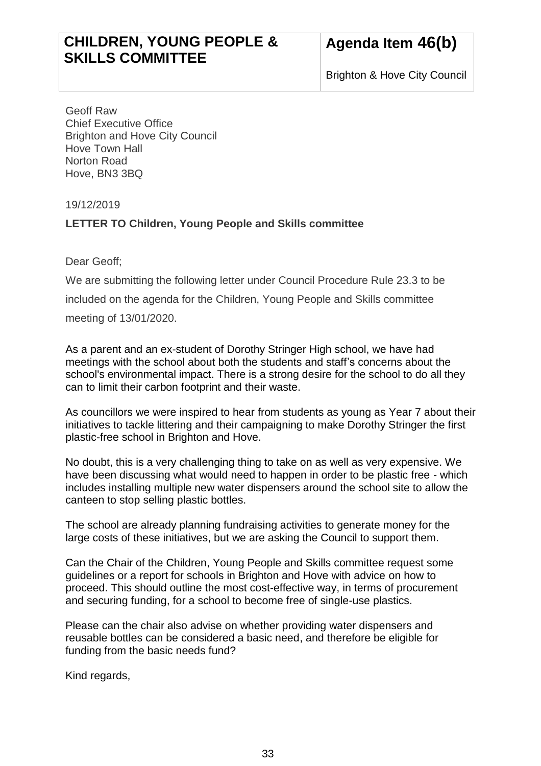## **CHILDREN, YOUNG PEOPLE & SKILLS COMMITTEE**

Brighton & Hove City Council

Geoff Raw Chief Executive Office Brighton and Hove City Council Hove Town Hall Norton Road Hove, BN3 3BQ

19/12/2019

## **LETTER TO Children, Young People and Skills committee**

Dear Geoff;

We are submitting the following letter under Council Procedure Rule 23.3 to be included on the agenda for the Children, Young People and Skills committee meeting of 13/01/2020.

As a parent and an ex-student of Dorothy Stringer High school, we have had meetings with the school about both the students and staff's concerns about the school's environmental impact. There is a strong desire for the school to do all they can to limit their carbon footprint and their waste.

As councillors we were inspired to hear from students as young as Year 7 about their initiatives to tackle littering and their campaigning to make Dorothy Stringer the first plastic-free school in Brighton and Hove.

No doubt, this is a very challenging thing to take on as well as very expensive. We have been discussing what would need to happen in order to be plastic free - which includes installing multiple new water dispensers around the school site to allow the canteen to stop selling plastic bottles.

The school are already planning fundraising activities to generate money for the large costs of these initiatives, but we are asking the Council to support them.

Can the Chair of the Children, Young People and Skills committee request some guidelines or a report for schools in Brighton and Hove with advice on how to proceed. This should outline the most cost-effective way, in terms of procurement and securing funding, for a school to become free of single-use plastics.

Please can the chair also advise on whether providing water dispensers and reusable bottles can be considered a basic need, and therefore be eligible for funding from the basic needs fund?

Kind regards,